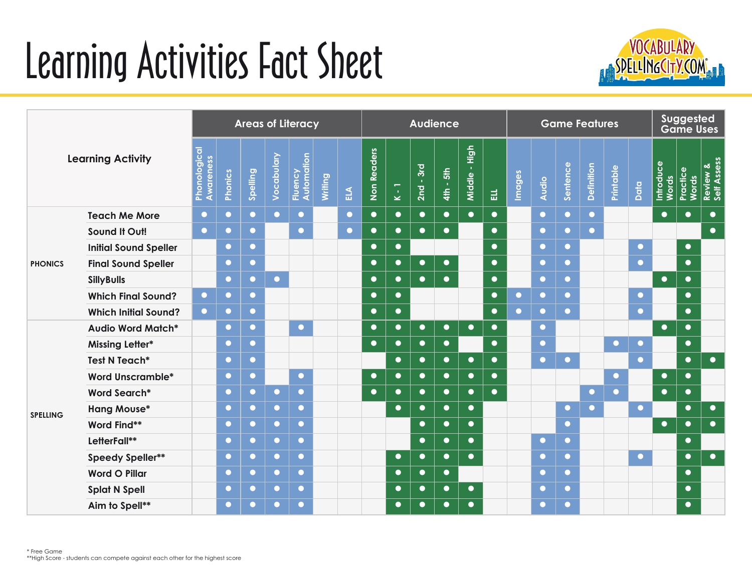## Learning Activities Fact Sheet



| <b>Learning Activity</b> |                              | <b>Areas of Literacy</b>  |                |           |            |                       |         |              |             | <b>Audience</b>                                    |             |                         |                                  |           |           |           | <b>Game Features</b> |                   |           |           |                           |                   | <b>Suggested</b><br><b>Game Uses</b> |  |  |
|--------------------------|------------------------------|---------------------------|----------------|-----------|------------|-----------------------|---------|--------------|-------------|----------------------------------------------------|-------------|-------------------------|----------------------------------|-----------|-----------|-----------|----------------------|-------------------|-----------|-----------|---------------------------|-------------------|--------------------------------------|--|--|
|                          |                              | Phonological<br>Awareness | <b>Phonics</b> | Spelling  | Vocabulary | Fluency<br>Automation | Writing | $\mathbf{r}$ | Non Readers | $\overline{\phantom{0}}$<br>$\mathbf{r}$<br>$\geq$ | $2nd - 3rd$ | $-5th$<br>$\frac{4}{3}$ | High<br>$\mathcal{A}$<br>Middle- | 큾         | Images    | Audio     | Sentence             | <b>Definition</b> | Printable | Data      | Introduce<br><b>Words</b> | Practice<br>Words | Review &<br>Self Assess              |  |  |
| <b>PHONICS</b>           | <b>Teach Me More</b>         | $\bullet$                 | $\bullet$      | $\bullet$ | $\bullet$  | $\bullet$             |         | $\bullet$    | $\bullet$   | $\bullet$                                          | $\bullet$   | $\bullet$               | $\bullet$                        | $\bullet$ |           | $\bullet$ | $\bullet$            | $\bullet$         |           |           | $\bullet$                 | $\bullet$         | $\bullet$                            |  |  |
|                          | Sound It Out!                | $\bullet$                 | $\bullet$      | $\bullet$ |            | $\bullet$             |         | $\bullet$    | $\bullet$   | $\bullet$                                          | $\bullet$   | $\bullet$               |                                  | $\bullet$ |           | $\bullet$ | $\bullet$            | $\bullet$         |           |           |                           |                   | $\bullet$                            |  |  |
|                          | <b>Initial Sound Speller</b> |                           | $\bullet$      | $\bullet$ |            |                       |         |              | $\bullet$   | $\bullet$                                          |             |                         |                                  | $\bullet$ |           | $\bullet$ | $\bullet$            |                   |           | $\bullet$ |                           | $\bullet$         |                                      |  |  |
|                          | <b>Final Sound Speller</b>   |                           | $\bullet$      | $\bullet$ |            |                       |         |              | $\bullet$   | $\bullet$                                          | $\bullet$   | $\bullet$               |                                  | $\bullet$ |           | $\bullet$ | $\bullet$            |                   |           | $\bullet$ |                           | $\bullet$         |                                      |  |  |
|                          | <b>SillyBulls</b>            |                           | $\bullet$      | $\bullet$ | $\bullet$  |                       |         |              | $\bullet$   | $\bullet$                                          | $\bullet$   | $\bullet$               |                                  | $\bullet$ |           | $\bullet$ | $\bullet$            |                   |           |           | $\bullet$                 | $\bullet$         |                                      |  |  |
|                          | <b>Which Final Sound?</b>    | $\bullet$                 | $\bullet$      | $\bullet$ |            |                       |         |              | $\bullet$   | $\bullet$                                          |             |                         |                                  | $\bullet$ | $\bullet$ | $\bullet$ | $\bullet$            |                   |           | $\bullet$ |                           | $\bullet$         |                                      |  |  |
|                          | <b>Which Initial Sound?</b>  | $\bullet$                 | $\bullet$      | $\bullet$ |            |                       |         |              | $\bullet$   | $\bullet$                                          |             |                         |                                  | $\bullet$ | $\bullet$ | $\bullet$ | $\bullet$            |                   |           | $\bullet$ |                           | $\bullet$         |                                      |  |  |
|                          | <b>Audio Word Match*</b>     |                           | $\bullet$      | $\bullet$ |            | $\bullet$             |         |              | $\bullet$   | $\bullet$                                          | $\bullet$   | $\bullet$               | $\bullet$                        | $\bullet$ |           | $\bullet$ |                      |                   |           |           | $\bullet$                 | $\bullet$         |                                      |  |  |
|                          | <b>Missing Letter*</b>       |                           | $\bullet$      | $\bullet$ |            |                       |         |              | $\bullet$   | $\bullet$                                          | $\bullet$   | $\bullet$               |                                  | $\bullet$ |           | $\bullet$ |                      |                   | $\bullet$ | $\bullet$ |                           | $\bullet$         |                                      |  |  |
|                          | Test N Teach*                |                           | $\bullet$      | $\bullet$ |            |                       |         |              |             | $\bullet$                                          | $\bullet$   | $\bullet$               | $\bullet$                        | $\bullet$ |           | $\bullet$ | $\bullet$            |                   |           | $\bullet$ |                           | $\bullet$         | $\bullet$                            |  |  |
|                          | <b>Word Unscramble*</b>      |                           | $\bullet$      | $\bullet$ |            | $\bullet$             |         |              | $\bullet$   | $\bullet$                                          | $\bullet$   | $\bullet$               | $\bullet$                        | $\bullet$ |           |           |                      |                   | $\bullet$ |           | $\bullet$                 | $\bullet$         |                                      |  |  |
| <b>SPELLING</b>          | <b>Word Search*</b>          |                           | $\bullet$      | $\bullet$ | $\bullet$  | $\bullet$             |         |              | $\bullet$   | $\bullet$                                          | $\bullet$   | $\bullet$               | $\bullet$                        | $\bullet$ |           |           |                      | $\bullet$         | $\bullet$ |           | $\bullet$                 | $\bullet$         |                                      |  |  |
|                          | <b>Hang Mouse*</b>           |                           | $\bullet$      | $\bullet$ | $\bullet$  | $\bullet$             |         |              |             | $\bullet$                                          | $\bullet$   | $\bullet$               | $\bullet$                        |           |           |           | $\bullet$            | $\bullet$         |           | $\bullet$ |                           | $\bullet$         | $\bullet$                            |  |  |
|                          | Word Find**                  |                           | $\bullet$      | $\bullet$ | $\bullet$  | $\bullet$             |         |              |             |                                                    | $\bullet$   | $\bullet$               | $\bullet$                        |           |           |           | $\bullet$            |                   |           |           | $\bullet$                 | $\bullet$         | $\bullet$                            |  |  |
|                          | LetterFall**                 |                           | $\bullet$      | $\bullet$ | $\bullet$  | $\bullet$             |         |              |             |                                                    | $\bullet$   | $\bullet$               | $\bullet$                        |           |           | $\bullet$ | $\bullet$            |                   |           |           |                           | $\bullet$         |                                      |  |  |
|                          | <b>Speedy Speller**</b>      |                           | $\bullet$      | $\bullet$ | $\bullet$  | $\bullet$             |         |              |             | $\bullet$                                          | $\bullet$   | $\bullet$               | $\bullet$                        |           |           | $\bullet$ | $\bullet$            |                   |           | $\bullet$ |                           | $\bullet$         | $\bullet$                            |  |  |
|                          | <b>Word O Pillar</b>         |                           | $\bullet$      | $\bullet$ | $\bullet$  | $\bullet$             |         |              |             | $\bullet$                                          | $\bullet$   | $\bullet$               |                                  |           |           | $\bullet$ | $\bullet$            |                   |           |           |                           | $\bullet$         |                                      |  |  |
|                          | <b>Splat N Spell</b>         |                           | $\bullet$      | $\bullet$ | $\bullet$  | $\bullet$             |         |              |             | $\bullet$                                          | $\bullet$   | $\bullet$               | $\bullet$                        |           |           | $\bullet$ | $\bullet$            |                   |           |           |                           | $\bullet$         |                                      |  |  |
|                          | Aim to Spell**               |                           | $\bullet$      | $\bullet$ | $\bullet$  | $\bullet$             |         |              |             | $\bullet$                                          | $\bullet$   | $\bullet$               | $\bullet$                        |           |           | $\bullet$ |                      |                   |           |           |                           | $\bullet$         |                                      |  |  |